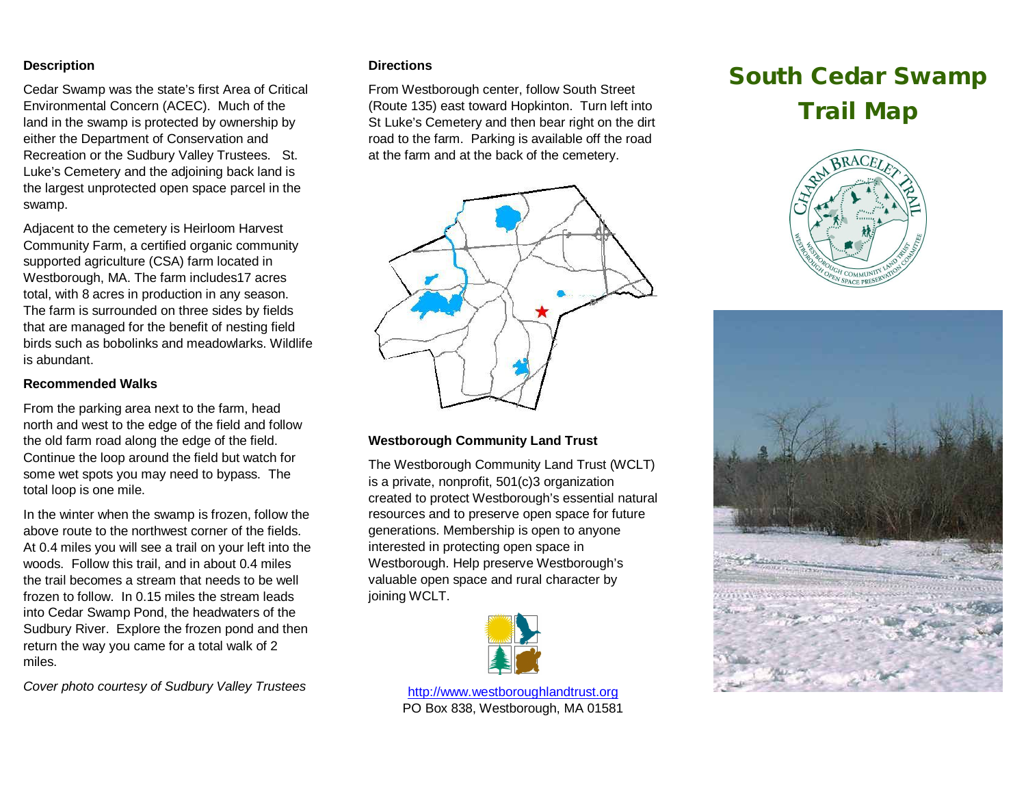## **Description**

Cedar Swamp was the state's first Area of Critical Environmental Concern (ACEC). Much of the land in the swamp is protected by ownership by either the Department of Conservation and Recreation or the Sudbury Valley Trustees. St. Luke's Cemetery and the adjoining back land is the largest unprotected open space parcel in the swamp.

Adjacent to the cemetery is Heirloom Harvest Community Farm, a certified organic community supported agriculture (CSA) farm located in Westborough, MA. The farm includes17 acres total, with 8 acres in production in any season. The farm is surrounded on three sides by fields that are managed for the benefit of nesting field birds such as bobolinks and meadowlarks. Wildlife is abundant.

## **Recommended Walks**

From the parking area next to the farm, head north and west to the edge of the field and follow the old farm road along the edge of the field. Continue the loop around the field but watch for some wet spots you may need to bypass. The total loop is one mile.

In the winter when the swamp is frozen, follow the above route to the northwest corner of the fields. At 0.4 miles you will see a trail on your left into the woods. Follow this trail, and in about 0.4 miles the trail becomes a stream that needs to be well frozen to follow. In 0.15 miles the stream leads into Cedar Swamp Pond, the headwaters of the Sudbury River. Explore the frozen pond and then return the way you came for a total walk of 2 miles.

*Cover photo courtesy of Sudbury Valley Trustees*

#### **Directions**

From Westborough center, follow South Street (Route 135) east toward Hopkinton. Turn left into St Luke's Cemetery and then bear right on the dirt road to the farm. Parking is available off the road at the farm and at the back of the cemetery.

# **South Cedar Swamp Trail Map**







## **Westborough Community Land Trust**

The Westborough Community Land Trust (WCLT) is a private, nonprofit, 501(c)3 organization created to protect Westborough's essential natural resources and to preserve open space for future generations. Membership is open to anyone interested in protecting open space in Westborough. Help preserve Westborough's valuable open space and rural character by joining WCLT.



[http://www.westboroughlandtrust.org](http://www.westboroughlandtrust.org/) PO Box 838, Westborough, MA 01581